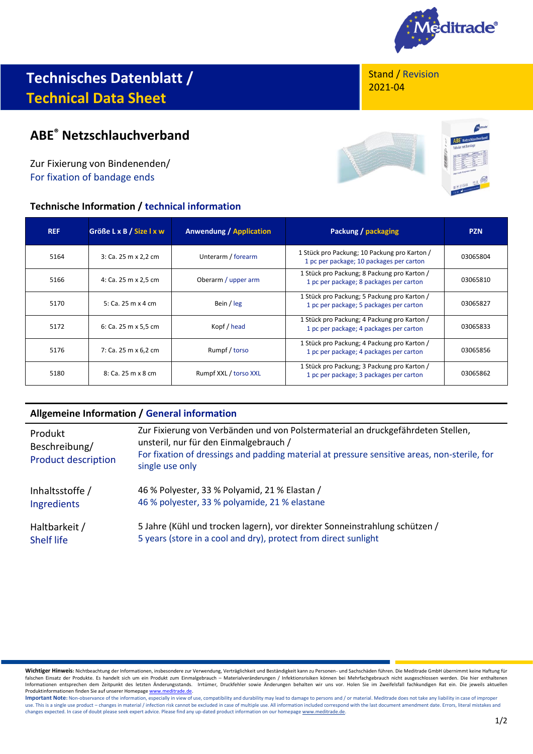

# **Technisches Datenblatt / Technical Data Sheet**

# **ABE® Netzschlauchverband**

Zur Fixierung von Bindenenden/ For fixation of bandage ends

## **Technische Information / technical information**

Stand / Revision 2021-04



| <b>REF</b> | Größe L x B / Size I x w | <b>Anwendung / Application</b> | Packung / packaging                                                                      | <b>PZN</b> |
|------------|--------------------------|--------------------------------|------------------------------------------------------------------------------------------|------------|
| 5164       | 3: Ca. 25 m x 2,2 cm     | Unterarm / forearm             | 1 Stück pro Packung; 10 Packung pro Karton /<br>1 pc per package; 10 packages per carton | 03065804   |
| 5166       | 4: Ca. 25 m x 2,5 cm     | Oberarm / upper arm            | 1 Stück pro Packung; 8 Packung pro Karton /<br>1 pc per package; 8 packages per carton   | 03065810   |
| 5170       | 5: Ca. 25 m x 4 cm       | Bein / leg                     | 1 Stück pro Packung; 5 Packung pro Karton /<br>1 pc per package; 5 packages per carton   | 03065827   |
| 5172       | 6: Ca. 25 m x 5.5 cm     | Kopf / head                    | 1 Stück pro Packung; 4 Packung pro Karton /<br>1 pc per package; 4 packages per carton   | 03065833   |
| 5176       | 7: Ca. 25 m x 6,2 cm     | Rumpf / torso                  | 1 Stück pro Packung; 4 Packung pro Karton /<br>1 pc per package; 4 packages per carton   | 03065856   |
| 5180       | 8: Ca. 25 m x 8 cm       | Rumpf XXL / torso XXL          | 1 Stück pro Packung; 3 Packung pro Karton /<br>1 pc per package; 3 packages per carton   | 03065862   |

### **Allgemeine Information / General information**

| Produkt<br>Beschreibung/<br><b>Product description</b> | Zur Fixierung von Verbänden und von Polstermaterial an druckgefährdeten Stellen,<br>unsteril, nur für den Einmalgebrauch /<br>For fixation of dressings and padding material at pressure sensitive areas, non-sterile, for<br>single use only |
|--------------------------------------------------------|-----------------------------------------------------------------------------------------------------------------------------------------------------------------------------------------------------------------------------------------------|
| Inhaltsstoffe /                                        | 46 % Polyester, 33 % Polyamid, 21 % Elastan /                                                                                                                                                                                                 |
| Ingredients                                            | 46 % polyester, 33 % polyamide, 21 % elastane                                                                                                                                                                                                 |
| Haltbarkeit /                                          | 5 Jahre (Kühl und trocken lagern), vor direkter Sonneinstrahlung schützen /                                                                                                                                                                   |
| <b>Shelf life</b>                                      | 5 years (store in a cool and dry), protect from direct sunlight                                                                                                                                                                               |

**Wichtiger Hinweis:** Nichtbeachtung der Informationen, insbesondere zur Verwendung, Verträglichkeit und Beständigkeit kann zu Personen- und Sachschäden führen. Die Meditrade GmbH übernimmt keine Haftung für<br>falschen Einsat Produktinformationen finden Sie auf unserer Homepag[e www.meditrade.de.](http://www.meditrade.de/)

Important Note: Non-observance of the information, especially in view of use, compatibility and durability may lead to damage to persons and / or material. Meditrade does not take any liability in case of improper use. This is a single use product – changes in material / infection risk cannot be excluded in case of multiple use. All information included correspond with the last document amendment date. Errors, literal mistakes and<br>c